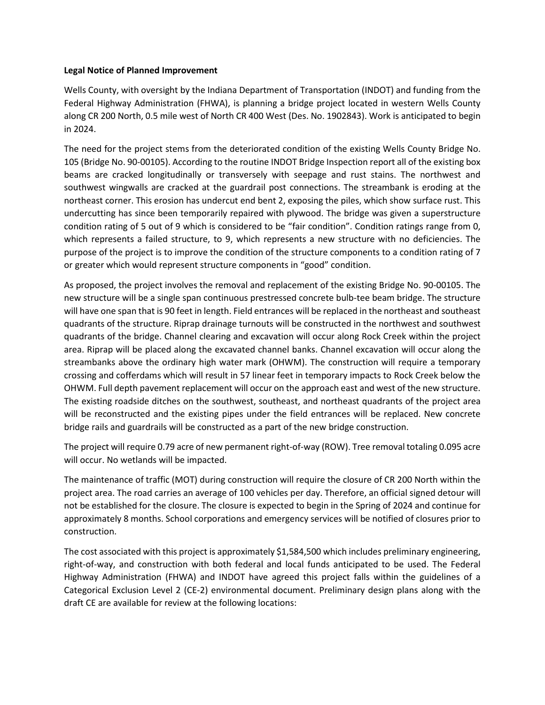## **Legal Notice of Planned Improvement**

Wells County, with oversight by the Indiana Department of Transportation (INDOT) and funding from the Federal Highway Administration (FHWA), is planning a bridge project located in western Wells County along CR 200 North, 0.5 mile west of North CR 400 West (Des. No. 1902843). Work is anticipated to begin in 2024.

The need for the project stems from the deteriorated condition of the existing Wells County Bridge No. 105 (Bridge No. 90-00105). According to the routine INDOT Bridge Inspection report all of the existing box beams are cracked longitudinally or transversely with seepage and rust stains. The northwest and southwest wingwalls are cracked at the guardrail post connections. The streambank is eroding at the northeast corner. This erosion has undercut end bent 2, exposing the piles, which show surface rust. This undercutting has since been temporarily repaired with plywood. The bridge was given a superstructure condition rating of 5 out of 9 which is considered to be "fair condition". Condition ratings range from 0, which represents a failed structure, to 9, which represents a new structure with no deficiencies. The purpose of the project is to improve the condition of the structure components to a condition rating of 7 or greater which would represent structure components in "good" condition.

As proposed, the project involves the removal and replacement of the existing Bridge No. 90-00105. The new structure will be a single span continuous prestressed concrete bulb-tee beam bridge. The structure will have one span that is 90 feet in length. Field entrances will be replaced in the northeast and southeast quadrants of the structure. Riprap drainage turnouts will be constructed in the northwest and southwest quadrants of the bridge. Channel clearing and excavation will occur along Rock Creek within the project area. Riprap will be placed along the excavated channel banks. Channel excavation will occur along the streambanks above the ordinary high water mark (OHWM). The construction will require a temporary crossing and cofferdams which will result in 57 linear feet in temporary impacts to Rock Creek below the OHWM. Full depth pavement replacement will occur on the approach east and west of the new structure. The existing roadside ditches on the southwest, southeast, and northeast quadrants of the project area will be reconstructed and the existing pipes under the field entrances will be replaced. New concrete bridge rails and guardrails will be constructed as a part of the new bridge construction.

The project will require 0.79 acre of new permanent right-of-way (ROW). Tree removal totaling 0.095 acre will occur. No wetlands will be impacted.

The maintenance of traffic (MOT) during construction will require the closure of CR 200 North within the project area. The road carries an average of 100 vehicles per day. Therefore, an official signed detour will not be established for the closure. The closure is expected to begin in the Spring of 2024 and continue for approximately 8 months. School corporations and emergency services will be notified of closures prior to construction.

The cost associated with this project is approximately \$1,584,500 which includes preliminary engineering, right-of-way, and construction with both federal and local funds anticipated to be used. The Federal Highway Administration (FHWA) and INDOT have agreed this project falls within the guidelines of a Categorical Exclusion Level 2 (CE-2) environmental document. Preliminary design plans along with the draft CE are available for review at the following locations: